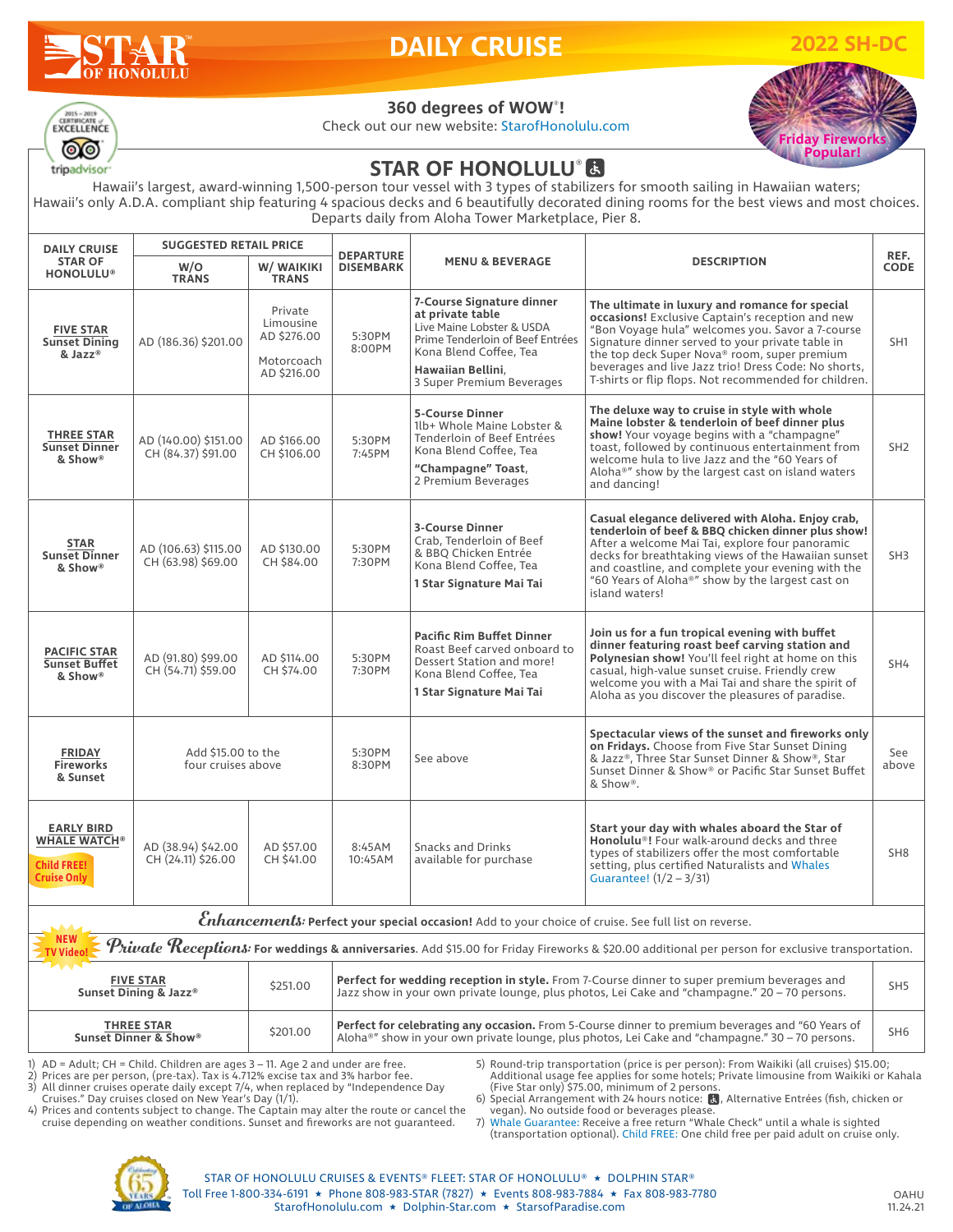# **HONOLIL**

# **DAILY CRUISE**

**2022 SH-DC**



### **360 degrees of WOW**® **!**

Check out our new website: StarofHonolulu.com



## **STAR OF HONOLULU® 因**

Hawaii's largest, award-winning 1,500-person tour vessel with 3 types of stabilizers for smooth sailing in Hawaiian waters; Hawaii's only A.D.A. compliant ship featuring 4 spacious decks and 6 beautifully decorated dining rooms for the best views and most choices. Departs daily from Aloha Tower Marketplace, Pier 8.

| <b>DAILY CRUISE</b><br><b>STAR OF</b><br><b>HONOLULU®</b>                                                                                        | <b>SUGGESTED RETAIL PRICE</b>              |                                                                  | <b>DEPARTURE</b>                                                                                                                                                                                                                     |                                                                                                                                                                                            |                                                                                                                                                                                                                                                                                                                                                                             | REF.            |  |  |  |  |  |
|--------------------------------------------------------------------------------------------------------------------------------------------------|--------------------------------------------|------------------------------------------------------------------|--------------------------------------------------------------------------------------------------------------------------------------------------------------------------------------------------------------------------------------|--------------------------------------------------------------------------------------------------------------------------------------------------------------------------------------------|-----------------------------------------------------------------------------------------------------------------------------------------------------------------------------------------------------------------------------------------------------------------------------------------------------------------------------------------------------------------------------|-----------------|--|--|--|--|--|
|                                                                                                                                                  | W/O<br><b>TRANS</b>                        | W/ WAIKIKI<br><b>TRANS</b>                                       | <b>DISEMBARK</b>                                                                                                                                                                                                                     | <b>MENU &amp; BEVERAGE</b>                                                                                                                                                                 | <b>DESCRIPTION</b>                                                                                                                                                                                                                                                                                                                                                          |                 |  |  |  |  |  |
| <b>FIVE STAR</b><br><b>Sunset Dining</b><br>& Jazz®                                                                                              | AD (186.36) \$201.00                       | Private<br>Limousine<br>AD \$276.00<br>Motorcoach<br>AD \$216.00 | 5:30PM<br>8:00PM                                                                                                                                                                                                                     | 7-Course Signature dinner<br>at private table<br>Live Maine Lobster & USDA<br>Prime Tenderloin of Beef Entrées<br>Kona Blend Coffee, Tea<br>Hawaiian Bellini,<br>3 Super Premium Beverages | The ultimate in luxury and romance for special<br>occasions! Exclusive Captain's reception and new<br>"Bon Voyage hula" welcomes you. Savor a 7-course<br>Signature dinner served to your private table in<br>the top deck Super Nova® room, super premium<br>beverages and live Jazz trio! Dress Code: No shorts,<br>T-shirts or flip flops. Not recommended for children. | SH <sub>1</sub> |  |  |  |  |  |
| <b>THREE STAR</b><br><b>Sunset Dinner</b><br>& Show®                                                                                             | AD (140.00) \$151.00<br>CH (84.37) \$91.00 | AD \$166.00<br>CH \$106.00                                       | 5:30PM<br>7:45PM                                                                                                                                                                                                                     | <b>5-Course Dinner</b><br>1lb+ Whole Maine Lobster &<br>Tenderloin of Beef Entrées<br>Kona Blend Coffee, Tea<br>"Champagne" Toast,<br>2 Premium Beverages                                  | The deluxe way to cruise in style with whole<br>Maine lobster & tenderloin of beef dinner plus<br>show! Your voyage begins with a "champagne"<br>toast, followed by continuous entertainment from<br>welcome hula to live Jazz and the "60 Years of<br>Aloha®" show by the largest cast on island waters<br>and dancing!                                                    | SH <sub>2</sub> |  |  |  |  |  |
| <b>STAR</b><br><b>Sunset Dinner</b><br>& Show®                                                                                                   | AD (106.63) \$115.00<br>CH (63.98) \$69.00 | AD \$130,00<br>CH \$84.00                                        | 5:30PM<br>7:30PM                                                                                                                                                                                                                     | <b>3-Course Dinner</b><br>Crab, Tenderloin of Beef<br>& BBQ Chicken Entrée<br>Kona Blend Coffee, Tea<br>1 Star Signature Mai Tai                                                           | Casual elegance delivered with Aloha. Enjoy crab,<br>tenderloin of beef & BBQ chicken dinner plus show!<br>After a welcome Mai Tai, explore four panoramic<br>decks for breathtaking views of the Hawaiian sunset<br>and coastline, and complete your evening with the<br>"60 Years of Aloha®" show by the largest cast on<br>island waters!                                | SH <sub>3</sub> |  |  |  |  |  |
| <b>PACIFIC STAR</b><br><b>Sunset Buffet</b><br>& Show®                                                                                           | AD (91.80) \$99.00<br>CH (54.71) \$59.00   | AD \$114,00<br>CH \$74.00                                        | 5:30PM<br>7:30PM                                                                                                                                                                                                                     | <b>Pacific Rim Buffet Dinner</b><br>Roast Beef carved onboard to<br>Dessert Station and more!<br>Kona Blend Coffee, Tea<br>1 Star Signature Mai Tai                                        | Join us for a fun tropical evening with buffet<br>dinner featuring roast beef carving station and<br>Polynesian show! You'll feel right at home on this<br>casual, high-value sunset cruise. Friendly crew<br>welcome you with a Mai Tai and share the spirit of<br>Aloha as you discover the pleasures of paradise.                                                        | SH4             |  |  |  |  |  |
| <b>FRIDAY</b><br><b>Fireworks</b><br>& Sunset                                                                                                    | Add \$15,00 to the<br>four cruises above   |                                                                  | 5:30PM<br>8:30PM                                                                                                                                                                                                                     | See above                                                                                                                                                                                  | Spectacular views of the sunset and fireworks only<br>on Fridays. Choose from Five Star Sunset Dining<br>& Jazz®, Three Star Sunset Dinner & Show®, Star<br>Sunset Dinner & Show® or Pacific Star Sunset Buffet<br>& Show®.                                                                                                                                                 | See<br>above    |  |  |  |  |  |
| <b>EARLY BIRD</b><br><b>WHALE WATCH®</b><br><b>Child FREE!</b><br><b>Cruise Only</b>                                                             | AD (38.94) \$42.00<br>CH (24.11) \$26.00   | AD \$57.00<br>CH \$41.00                                         | 8:45AM<br>10:45AM                                                                                                                                                                                                                    | Snacks and Drinks<br>available for purchase                                                                                                                                                | Start your day with whales aboard the Star of<br>Honolulu <sup>®</sup> ! Four walk-around decks and three<br>types of stabilizers offer the most comfortable<br>setting, plus certified Naturalists and Whales<br>Guarantee! $(1/2 - 3/31)$                                                                                                                                 | SH <sub>8</sub> |  |  |  |  |  |
| Enhancements: Perfect your special occasion! Add to your choice of cruise. See full list on reverse.                                             |                                            |                                                                  |                                                                                                                                                                                                                                      |                                                                                                                                                                                            |                                                                                                                                                                                                                                                                                                                                                                             |                 |  |  |  |  |  |
| Private Receptions: For weddings & anniversaries. Add \$15.00 for Friday Fireworks & \$20.00 additional per person for exclusive transportation. |                                            |                                                                  |                                                                                                                                                                                                                                      |                                                                                                                                                                                            |                                                                                                                                                                                                                                                                                                                                                                             |                 |  |  |  |  |  |
| <b>FIVE STAR</b><br>Sunset Dining & Jazz®                                                                                                        |                                            | \$251.00                                                         | Perfect for wedding reception in style. From 7-Course dinner to super premium beverages and<br>SH <sub>5</sub><br>Jazz show in your own private lounge, plus photos, Lei Cake and "champagne." 20 – 70 persons.                      |                                                                                                                                                                                            |                                                                                                                                                                                                                                                                                                                                                                             |                 |  |  |  |  |  |
| <b>THREE STAR</b><br>Sunset Dinner & Show®                                                                                                       |                                            | \$201.00                                                         | Perfect for celebrating any occasion. From 5-Course dinner to premium beverages and "60 Years of<br>SH <sub>6</sub><br>Aloha <sup>®</sup> " show in your own private lounge, plus photos, Lei Cake and "champagne." 30 – 70 persons. |                                                                                                                                                                                            |                                                                                                                                                                                                                                                                                                                                                                             |                 |  |  |  |  |  |

1)  $AD =$  Adult; CH = Child. Children are ages  $3 - 11$ . Age 2 and under are free.<br>2) Prices are per person. (pre-tax). Tax is 4.712% excise tax and 3% harbor fee

2) Prices are per person, (pre-tax). Tax is 4.712% excise tax and 3% harbor fee.<br>2) All dinner cruises operate daily except 7/4, when replaced by "Independen

All dinner cruises operate daily except 7/4, when replaced by "Independence Day Cruises." Day cruises closed on New Year's Day (1/1).

Additional usage fee applies for some hotels; Private limousine from Waikiki or Kahala (Five Star only) \$75.00, minimum of 2 persons. 6) Special Arrangement with 24 hours notice: **(3)**, Alternative Entrées (fish, chicken or vegan). No outside food or beverages please. 7) Whale Guarantee: Receive a free return "Whale Check" until a whale is sighted

5) Round-trip transportation (price is per person): From Waikiki (all cruises) \$15.00;

4) Prices and contents subject to change. The Captain may alter the route or cancel the cruise depending on weather conditions. Sunset and fireworks are not guaranteed.

(transportation optional). Child FREE: One child free per paid adult on cruise only.